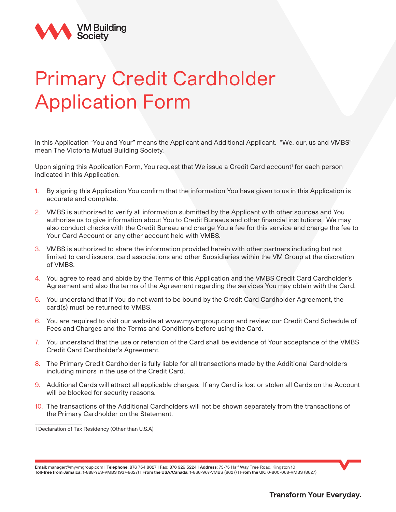

## Primary Credit Cardholder Application Form

In this Application "You and Your" means the Applicant and Additional Applicant. "We, our, us and VMBS" mean The Victoria Mutual Building Society.

Upon signing this Application Form, You request that We issue a Credit Card account<sup>1</sup> for each person indicated in this Application.

- 1. By signing this Application You confirm that the information You have given to us in this Application is accurate and complete.
- 2. VMBS is authorized to verify all information submitted by the Applicant with other sources and You authorise us to give information about You to Credit Bureaus and other financial institutions. We may also conduct checks with the Credit Bureau and charge You a fee for this service and charge the fee to Your Card Account or any other account held with VMBS.
- 3. VMBS is authorized to share the information provided herein with other partners including but not limited to card issuers, card associations and other Subsidiaries within the VM Group at the discretion of VMBS.
- 4. You agree to read and abide by the Terms of this Application and the VMBS Credit Card Cardholder's Agreement and also the terms of the Agreement regarding the services You may obtain with the Card.
- 5. You understand that if You do not want to be bound by the Credit Card Cardholder Agreement, the card(s) must be returned to VMBS.
- 6. You are required to visit our website at www.myvmgroup.com and review our Credit Card Schedule of Fees and Charges and the Terms and Conditions before using the Card.
- 7. You understand that the use or retention of the Card shall be evidence of Your acceptance of the VMBS Credit Card Cardholder's Agreement.
- 8. The Primary Credit Cardholder is fully liable for all transactions made by the Additional Cardholders including minors in the use of the Credit Card.
- 9. Additional Cards will attract all applicable charges. If any Card is lost or stolen all Cards on the Account will be blocked for security reasons.
- 10. The transactions of the Additional Cardholders will not be shown separately from the transactions of the Primary Cardholder on the Statement.

1 Declaration of Tax Residency (Other than U.S.A)

**Email:** manager@myvmgroup.com | **Telephone:** 876 754 8627 | **Fax:** 876 929 5224 | **Address:** 73-75 Half Way Tree Road, Kingston 10 **Toll-free from Jamaica:** 1-888-YES-VMBS (937-8627) I **From the USA/Canada:** 1-866-967-VMBS (8627) I **From the UK:** 0-800-068-VMBS (8627)